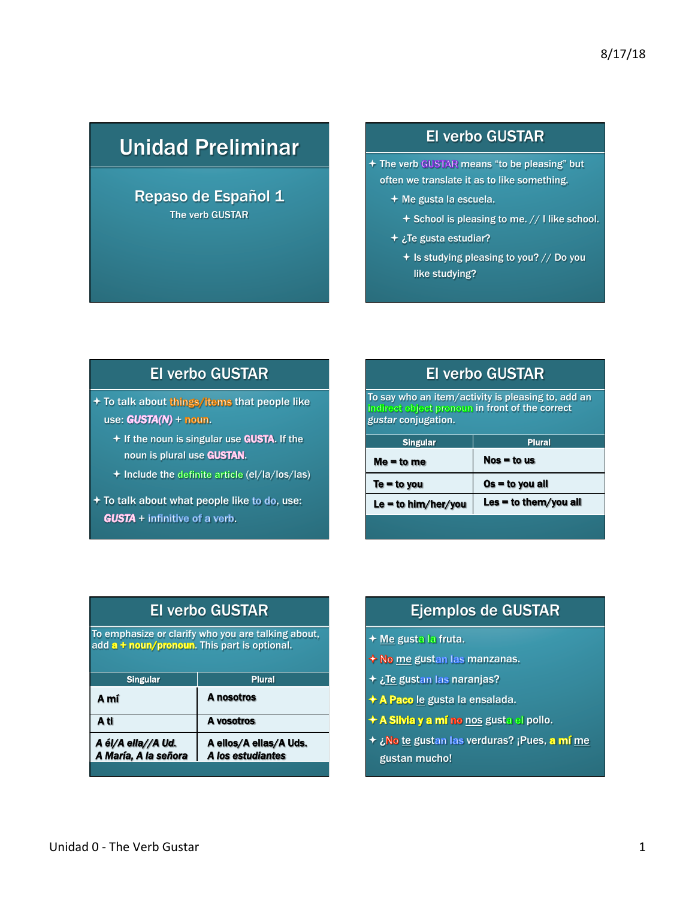# Unidad Preliminar

#### Repaso de Español 1 The verb GUSTAR

#### El verbo GUSTAR

+ The verb GUSTAR means "to be pleasing" but often we translate it as to like something.

- $\div$  Me gusta la escuela.
	- $+$  School is pleasing to me.  $//$  I like school.
- $\div$  ¿Te gusta estudiar?
	- $\div$  Is studying pleasing to you? // Do you like studying?

## El verbo GUSTAR

+ To talk about things/items that people like use:  $GUSTA(N) + \text{noun}.$ 

- $+$  If the noun is singular use GUSTA. If the noun is plural use GUSTAN.
- + Include the definite article (el/la/los/las)
- $+$  To talk about what people like to do, use:  $GUSTA +$  infinitive of a verb.

## El verbo GUSTAR

To say who an item/activity is pleasing to, add an noun in front of the correct *gustar* conjugation.

| <b>Singular</b>     | <b>Plural</b>         |
|---------------------|-----------------------|
| $Me = to me$        | $Nos = to us$         |
| $Te = to you$       | $Os = to you all$     |
| Le = to him/her/you | Les = to them/you all |
|                     |                       |

| <b>El verbo GUSTAR</b><br>To emphasize or clarify who you are talking about,<br>add a + noun/pronoun. This part is optional. |                                             |
|------------------------------------------------------------------------------------------------------------------------------|---------------------------------------------|
|                                                                                                                              |                                             |
| A mí                                                                                                                         | A nosotros                                  |
| A ti                                                                                                                         | A vosotros                                  |
| A él/A ella//A Ud.<br>A María, A la señora                                                                                   | A ellos/A ellas/A Uds.<br>A los estudiantes |

### Ejemplos de GUSTAR

- + Me gusta la fruta.
- $\bigstar$  No me gustan las manzanas.
- + ¿Te gustan las naranjas?
- + A Paco le gusta la ensalada.
- + A Silvia y a mí no nos gusta el pollo.
- $+$  ¿No te gustan las verduras? ¡Pues, a mí me gustan mucho!